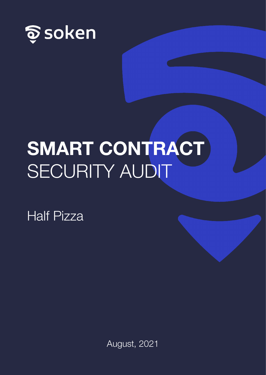

# **SMART CONTRACT**  SECURITY AUDIT

Half Pizza

August, 2021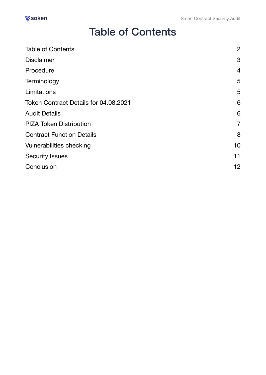#### <span id="page-1-0"></span>Table of Contents

| <b>Table of Contents</b>              | $\overline{2}$    |
|---------------------------------------|-------------------|
| <b>Disclaimer</b>                     | 3                 |
| Procedure                             | $\overline{4}$    |
| Terminology                           | 5                 |
| Limitations                           | 5                 |
| Token Contract Details for 04.08.2021 | 6                 |
| <b>Audit Details</b>                  | 6                 |
| <b>PIZA Token Distribution</b>        | $\overline{7}$    |
| <b>Contract Function Details</b>      | 8                 |
| Vulnerabilities checking              | 10                |
| <b>Security Issues</b>                | 11                |
| Conclusion                            | $12 \overline{ }$ |
|                                       |                   |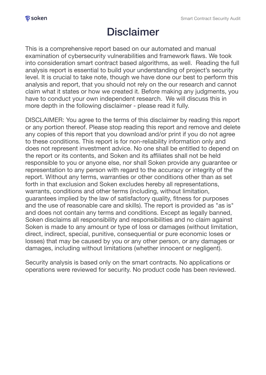# <span id="page-2-0"></span>Disclaimer

This is a comprehensive report based on our automated and manual examination of cybersecurity vulnerabilities and framework flaws. We took into consideration smart contract based algorithms, as well. Reading the full analysis report is essential to build your understanding of project's security level. It is crucial to take note, though we have done our best to perform this analysis and report, that you should not rely on the our research and cannot claim what it states or how we created it. Before making any judgments, you have to conduct your own independent research. We will discuss this in more depth in the following disclaimer - please read it fully.

DISCLAIMER: You agree to the terms of this disclaimer by reading this report or any portion thereof. Please stop reading this report and remove and delete any copies of this report that you download and/or print if you do not agree to these conditions. This report is for non-reliability information only and does not represent investment advice. No one shall be entitled to depend on the report or its contents, and Soken and its affiliates shall not be held responsible to you or anyone else, nor shall Soken provide any guarantee or representation to any person with regard to the accuracy or integrity of the report. Without any terms, warranties or other conditions other than as set forth in that exclusion and Soken excludes hereby all representations, warrants, conditions and other terms (including, without limitation, guarantees implied by the law of satisfactory quality, fitness for purposes and the use of reasonable care and skills). The report is provided as "as is" and does not contain any terms and conditions. Except as legally banned, Soken disclaims all responsibility and responsibilities and no claim against Soken is made to any amount or type of loss or damages (without limitation, direct, indirect, special, punitive, consequential or pure economic loses or losses) that may be caused by you or any other person, or any damages or damages, including without limitations (whether innocent or negligent).

Security analysis is based only on the smart contracts. No applications or operations were reviewed for security. No product code has been reviewed.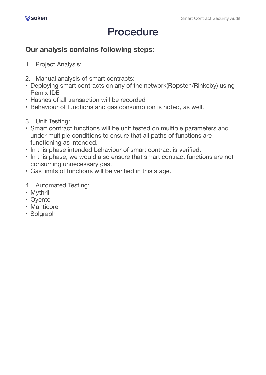### <span id="page-3-0"></span>Procedure

#### **Our analysis contains following steps:**

- 1. Project Analysis;
- 2. Manual analysis of smart contracts:
- Deploying smart contracts on any of the network(Ropsten/Rinkeby) using Remix IDE
- Hashes of all transaction will be recorded
- Behaviour of functions and gas consumption is noted, as well.
- 3. Unit Testing:
- Smart contract functions will be unit tested on multiple parameters and under multiple conditions to ensure that all paths of functions are functioning as intended.
- In this phase intended behaviour of smart contract is verified.
- In this phase, we would also ensure that smart contract functions are not consuming unnecessary gas.
- Gas limits of functions will be verified in this stage.
- 4. Automated Testing:
- Mythril
- Oyente
- Manticore
- Solgraph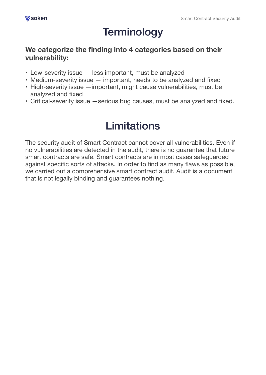# <span id="page-4-0"></span>**Terminology**

#### **We categorize the finding into 4 categories based on their vulnerability:**

- Low-severity issue less important, must be analyzed
- Medium-severity issue important, needs to be analyzed and fixed
- High-severity issue —important, might cause vulnerabilities, must be analyzed and fixed
- Critical-severity issue —serious bug causes, must be analyzed and fixed.

# <span id="page-4-1"></span>Limitations

The security audit of Smart Contract cannot cover all vulnerabilities. Even if no vulnerabilities are detected in the audit, there is no guarantee that future smart contracts are safe. Smart contracts are in most cases safeguarded against specific sorts of attacks. In order to find as many flaws as possible, we carried out a comprehensive smart contract audit. Audit is a document that is not legally binding and guarantees nothing.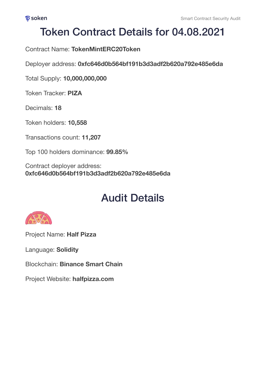### <span id="page-5-0"></span>Token Contract Details for 04.08.2021

Contract Name: **TokenMintERC20Token** 

Deployer address: **0xfc646d0b564bf191b3d3adf2b620a792e485e6da** 

Total Supply: **10,000,000,000**

Token Tracker: **PIZA**

Decimals: **18**

Token holders: **10,558**

Transactions count: **11,207**

Top 100 holders dominance: **99.85%**

Contract deployer address: **0xfc646d0b564bf191b3d3adf2b620a792e485e6da**

## <span id="page-5-1"></span>Audit Details



Project Name: **Half Pizza** 

Language: **Solidity**

Blockchain: **Binance Smart Chain**

Project Website: **[halfpizza.com](https://halfpizza.com/)**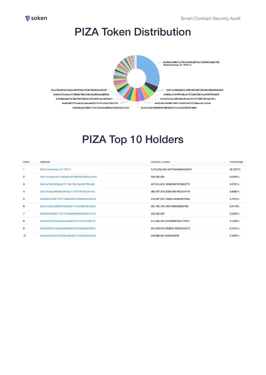

#### <span id="page-6-0"></span>PIZA Token Distribution



#### PIZA Top 10 Holders

| Hank           | Address                                    | <b>Quantity</b> (Token)          | Percentage |
|----------------|--------------------------------------------|----------------------------------|------------|
|                | <b>B</b> PancakeSwap V2: PIZA 2            | 3,075,265,245.004778444894162047 | 30.7527%   |
| 2              | 0xd41e4da6cbe51a0b5602d9728b4833b9dda0ce64 | 500,000,000                      | 5.0000%    |
| 3              | 0x8c0a13f8495feba37371bb70de7aa482f7fb3a08 | 407,514,672.184064801976602779   | 4.0751%    |
| 4              | 0x5d1fb5eec88059e29b3ea717531f957fe5ab144c | 382,797,378.005612851923704479   | 3.8280%    |
| 5              | 0x63e922449b779971b856545572589ecefcc02c6c | 376,697,255.768567222929470526   | 3.7670%    |
| 6              | 0xa7e1c832b986f4329630a61f1cec0c630597a089 | 351,160,789.76612086908002465    | 3.5116%    |
| $\overline{7}$ | 0xb9d2a4daf99714317b3a3a696befa40b29c3c315 | 330,000,000                      | 3.3000%    |
| 8              | 0x405bf73f7ee055a50ea968373147af3b27288726 | 312,055,420.204548657032779701   | 3.1206%    |
| 9              | 0x90b8bd037a5b8394f0d69e2d5b3f423a22838c61 | 251,406,979.090852142395533372   | 2.5141%    |
| 10             | 0xc65e30cd2ee57509ab48b5f2d13e369de2bdf8c6 | 245,665,054.5053192306           | 2.4567%    |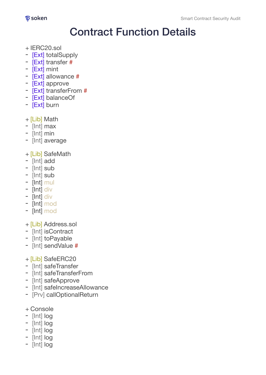

#### <span id="page-7-0"></span>Contract Function Details

- + IERC20.sol
- [Ext] totalSupply
- [Ext] transfer #
- [Ext] mint
- [Ext] allowance #
- [Ext] approve
- [Ext] transferFrom #
- [Ext] balanceOf
- [Ext] burn
- + [Lib] Math
- [Int] max
- [Int] min
- [Int] average
- + [Lib] SafeMath
- [Int] add
- [Int] sub
- [Int] sub
- [Int] mul
- [Int] div
- [Int] div
- [Int] mod
- [Int] mod
- + [Lib] Address.sol
- [Int] isContract
- [Int] toPayable
- [Int] sendValue #
- + [Lib] SafeERC20
- [Int] safeTransfer
- [Int] safeTransferFrom
- [Int] safeApprove
- [Int] safeIncreaseAllowance
- [Prv] callOptionalReturn
- + Console
- [Int] log
- [Int] log
- [Int] log
- [Int] log
- [Int] log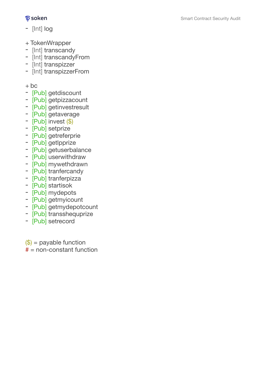#### $\delta$  soken

- [Int] log
- 
- 
- + TokenWrapper<br>- [Int] transcandy<br>- [Int] transcandyFrom<br>- [Int] transpizzerFrom<br>- [Int] transpizzerFrom
- 
- 

- 
- 
- 
- 
- 
- 
- 
- 
- 
- 
- 
- 
- 
- 
- 
- 
- + bc<br>- [Pub] getdiscount<br>- [Pub] getpizzacount<br>- [Pub] getinvestresult<br>- [Pub] invest (\$)<br>- [Pub] setprize<br>- [Pub] getteferprie<br>- [Pub] getuserbalance<br>- [Pub] mywethdrawn<br>- [Pub] tranferpizza<br>- [Pub] startisok<br>- [Pub] getm
- 
- 

 $(\$)$  = payable function  $# = non-constant$  function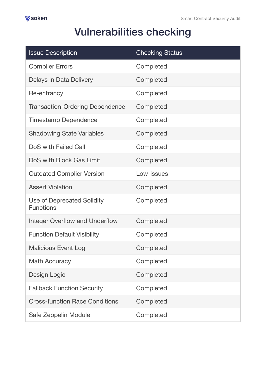# <span id="page-9-0"></span>Vulnerabilities checking

| <b>Issue Description</b>                              | <b>Checking Status</b> |
|-------------------------------------------------------|------------------------|
| <b>Compiler Errors</b>                                | Completed              |
| Delays in Data Delivery                               | Completed              |
| Re-entrancy                                           | Completed              |
| <b>Transaction-Ordering Dependence</b>                | Completed              |
| <b>Timestamp Dependence</b>                           | Completed              |
| <b>Shadowing State Variables</b>                      | Completed              |
| DoS with Failed Call                                  | Completed              |
| DoS with Block Gas Limit                              | Completed              |
| <b>Outdated Complier Version</b>                      | Low-issues             |
| <b>Assert Violation</b>                               | Completed              |
| <b>Use of Deprecated Solidity</b><br><b>Functions</b> | Completed              |
| <b>Integer Overflow and Underflow</b>                 | Completed              |
| <b>Function Default Visibility</b>                    | Completed              |
| <b>Malicious Event Log</b>                            | Completed              |
| <b>Math Accuracy</b>                                  | Completed              |
| Design Logic                                          | Completed              |
| <b>Fallback Function Security</b>                     | Completed              |
| <b>Cross-function Race Conditions</b>                 | Completed              |
| Safe Zeppelin Module                                  | Completed              |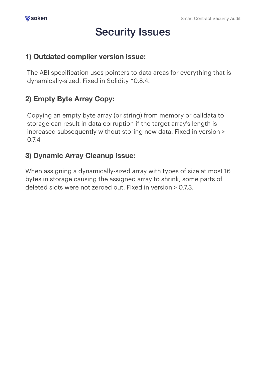## <span id="page-10-0"></span>Security Issues

#### **1) Outdated complier version issue:**

The ABI specification uses pointers to data areas for everything that is dynamically-sized. Fixed in Solidity ^0.8.4.

#### **2) Empty Byte Array Copy:**

Copying an empty byte array (or string) from memory or calldata to storage can result in data corruption if the target array's length is increased subsequently without storing new data. Fixed in version > 0.7.4

#### **3) Dynamic Array Cleanup issue:**

When assigning a dynamically-sized array with types of size at most 16 bytes in storage causing the assigned array to shrink, some parts of deleted slots were not zeroed out. Fixed in version > 0.7.3.